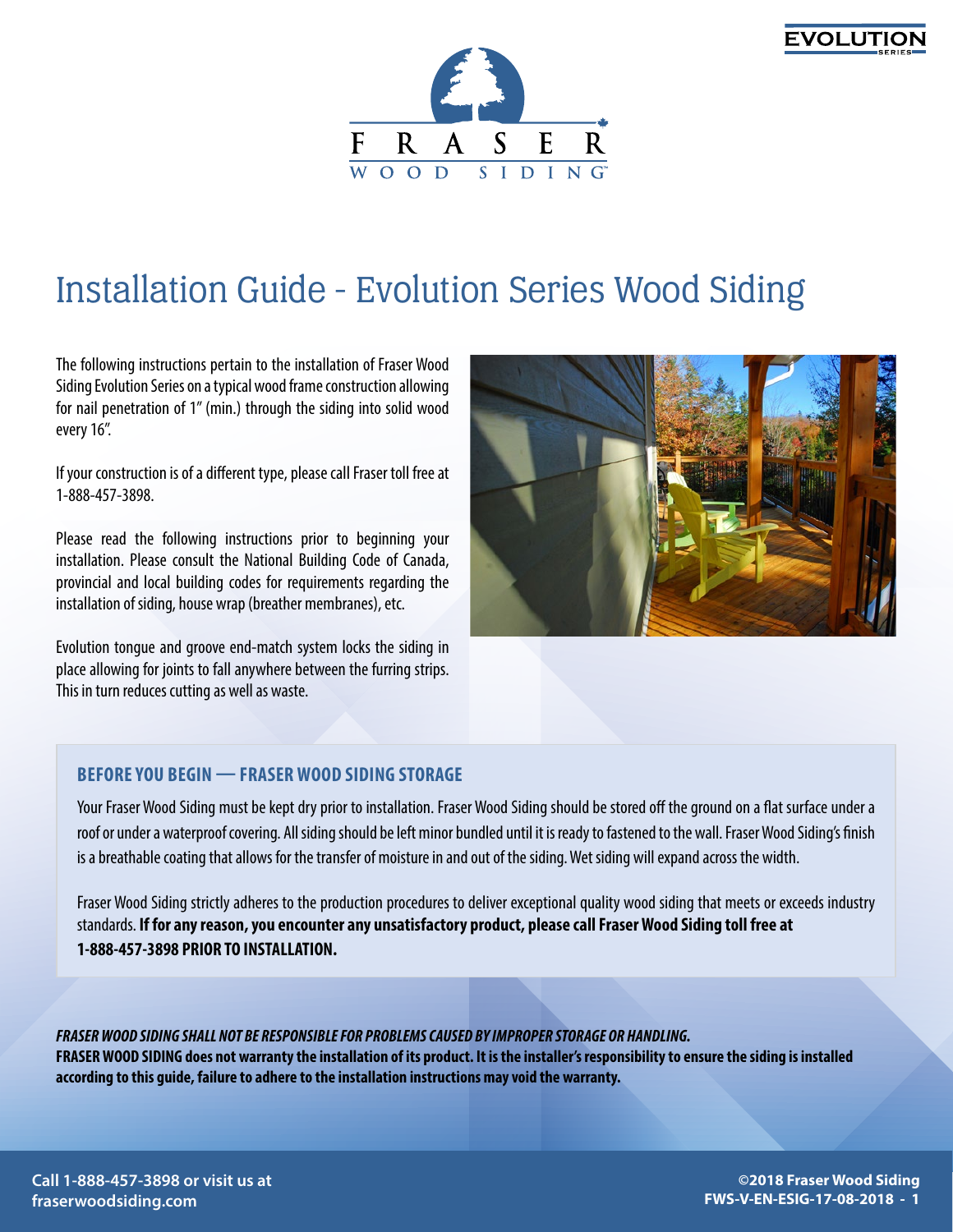



# Installation Guide - Evolution Series Wood Siding

The following instructions pertain to the installation of Fraser Wood Siding Evolution Series on a typical wood frame construction allowing for nail penetration of 1" (min.) through the siding into solid wood every 16".

If your construction is of a different type, please call Fraser toll free at 1-888-457-3898.

Please read the following instructions prior to beginning your installation. Please consult the National Building Code of Canada, provincial and local building codes for requirements regarding the installation of siding, house wrap (breather membranes), etc.

Evolution tongue and groove end-match system locks the siding in place allowing for joints to fall anywhere between the furring strips. This in turn reduces cutting as well as waste.



### **BEFORE YOU BEGIN — FRASER WOOD SIDING STORAGE**

Your Fraser Wood Siding must be kept dry prior to installation. Fraser Wood Siding should be stored off the ground on a flat surface under a roof or under a waterproof covering. All siding should be left minor bundled until it is ready to fastened to the wall. Fraser Wood Siding's finish is a breathable coating that allows for the transfer of moisture in and out of the siding. Wet siding will expand across the width.

Fraser Wood Siding strictly adheres to the production procedures to deliver exceptional quality wood siding that meets or exceeds industry standards. **If for any reason, you encounter any unsatisfactory product, please call Fraser Wood Siding toll free at 1-888-457-3898 PRIOR TO INSTALLATION.**

*FRASER WOOD SIDING SHALL NOT BE RESPONSIBLE FOR PROBLEMS CAUSED BY IMPROPER STORAGE OR HANDLING.* **FRASER WOOD SIDING does not warranty the installation of its product. It is the installer's responsibility to ensure the siding is installed according to this guide, failure to adhere to the installation instructions may void the warranty.**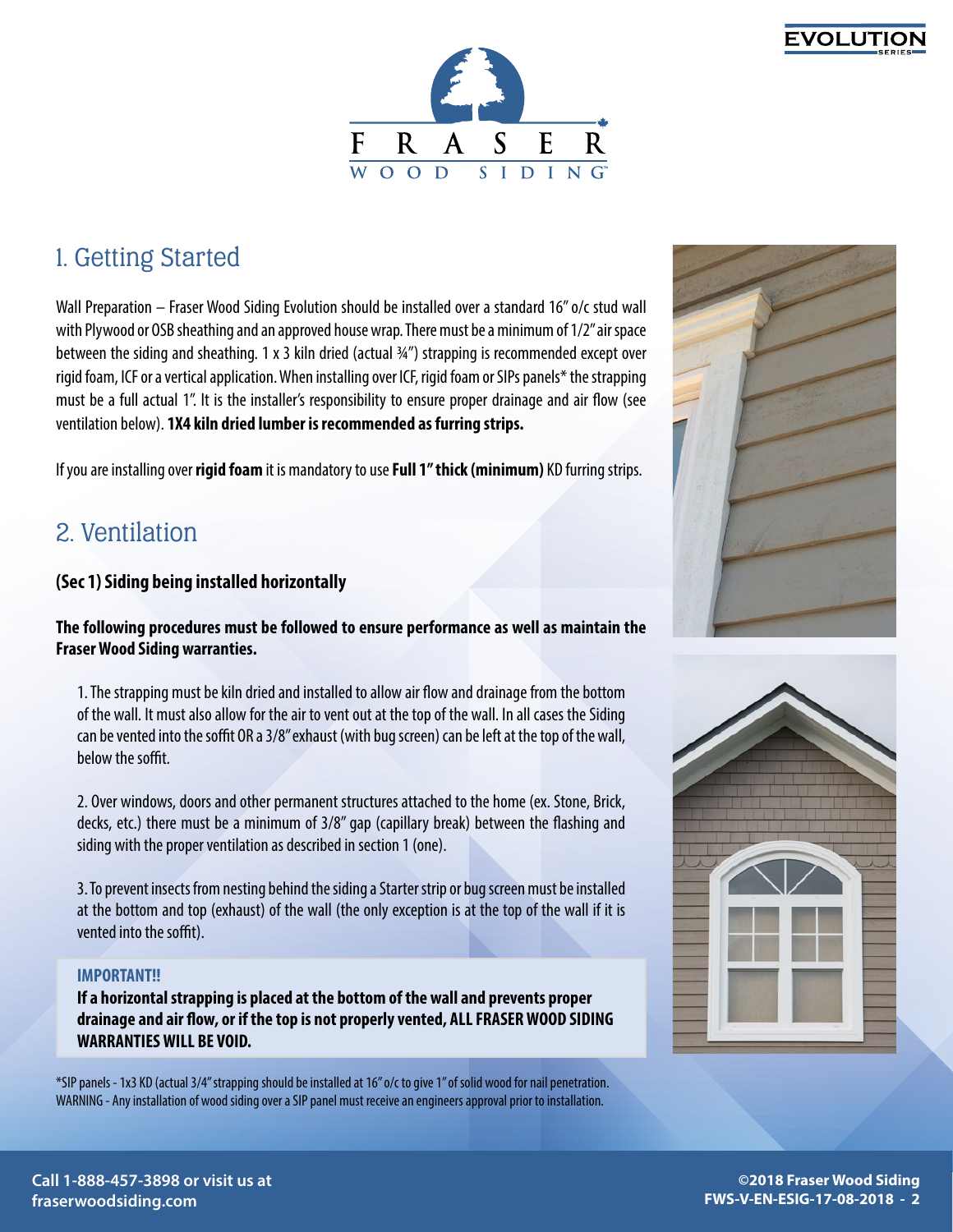



# 1. Getting Started

Wall Preparation – Fraser Wood Siding Evolution should be installed over a standard 16" o/c stud wall with Plywood or OSB sheathing and an approved house wrap. There must be a minimum of 1/2" air space between the siding and sheathing. 1 x 3 kiln dried (actual ¾") strapping is recommended except over rigid foam, ICF or a vertical application. When installing over ICF, rigid foam or SIPs panels\* the strapping must be a full actual 1". It is the installer's responsibility to ensure proper drainage and air flow (see ventilation below). **1X4 kiln dried lumber is recommended as furring strips.** 

If you are installing over **rigid foam** it is mandatory to use **Full 1" thick (minimum)** KD furring strips.

# 2. Ventilation

### **(Sec 1) Siding being installed horizontally**

### **The following procedures must be followed to ensure performance as well as maintain the Fraser Wood Siding warranties.**

1. The strapping must be kiln dried and installed to allow air flow and drainage from the bottom of the wall. It must also allow for the air to vent out at the top of the wall. In all cases the Siding can be vented into the soffit OR a 3/8" exhaust (with bug screen) can be left at the top of the wall, below the soffit.

2. Over windows, doors and other permanent structures attached to the home (ex. Stone, Brick, decks, etc.) there must be a minimum of 3/8" gap (capillary break) between the flashing and siding with the proper ventilation as described in section 1 (one).

3. To prevent insects from nesting behind the siding a Starter strip or bug screen must be installed at the bottom and top (exhaust) of the wall (the only exception is at the top of the wall if it is vented into the soffit).

#### **IMPORTANT!!**

**If a horizontal strapping is placed at the bottom of the wall and prevents proper drainage and air flow, or if the top is not properly vented, ALL FRASER WOOD SIDING WARRANTIES WILL BE VOID.**

\*SIP panels - 1x3 KD (actual 3/4'' strapping should be installed at 16'' o/c to give 1'' of solid wood for nail penetration. WARNING - Any installation of wood siding over a SIP panel must receive an engineers approval prior to installation.



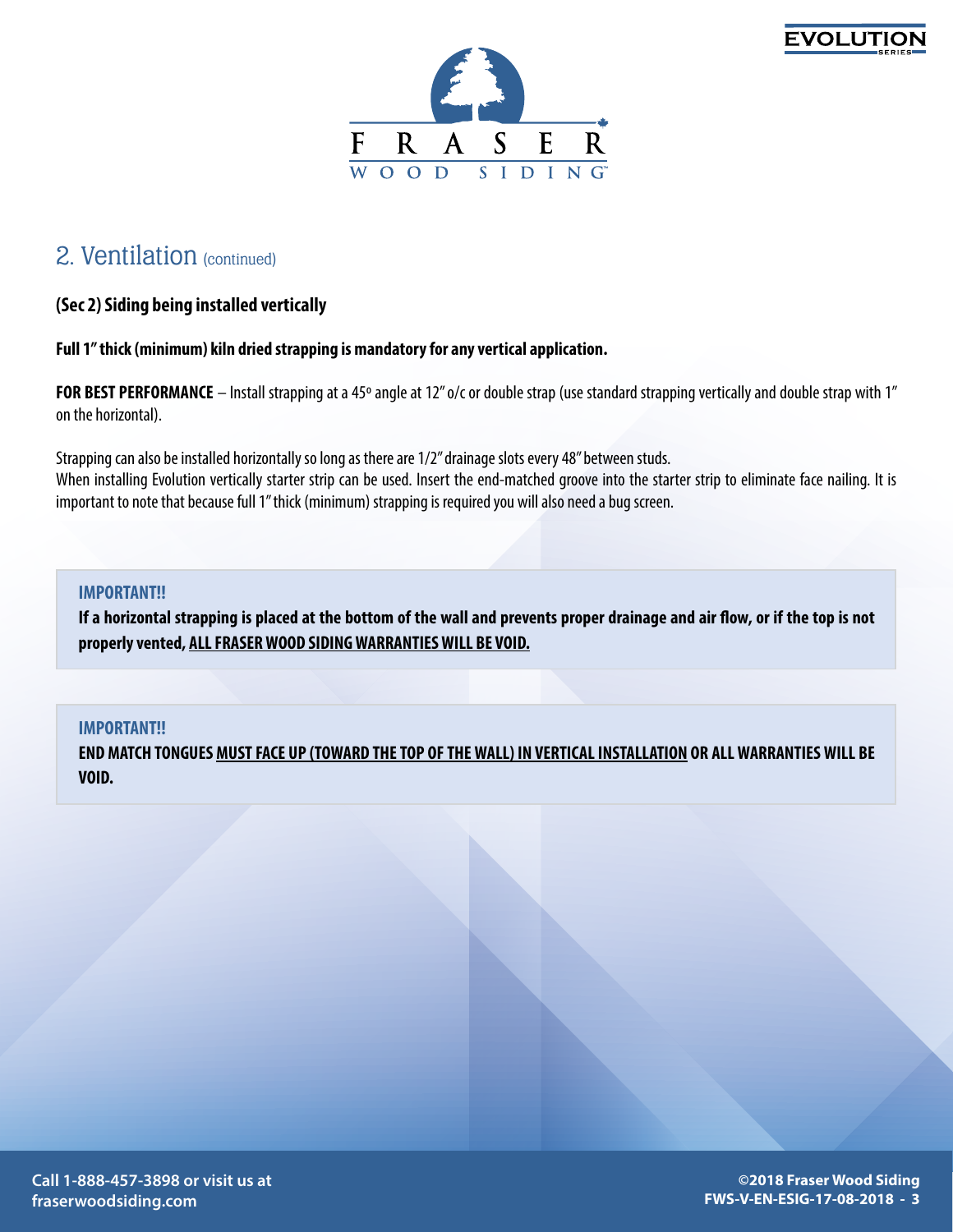



# 2. Ventilation (continued)

### **(Sec 2) Siding being installed vertically**

#### **Full 1" thick (minimum) kiln dried strapping is mandatory for any vertical application.**

**FOR BEST PERFORMANCE** – Install strapping at a 45º angle at 12" o/c or double strap (use standard strapping vertically and double strap with 1" on the horizontal).

Strapping can also be installed horizontally so long as there are 1/2" drainage slots every 48" between studs. When installing Evolution vertically starter strip can be used. Insert the end-matched groove into the starter strip to eliminate face nailing. It is important to note that because full 1" thick (minimum) strapping is required you will also need a bug screen.

#### **IMPORTANT!!**

**If a horizontal strapping is placed at the bottom of the wall and prevents proper drainage and air flow, or if the top is not properly vented, ALL FRASER WOOD SIDING WARRANTIES WILL BE VOID.**

#### **IMPORTANT!!**

**END MATCH TONGUES MUST FACE UP (TOWARD THE TOP OF THE WALL) IN VERTICAL INSTALLATION OR ALL WARRANTIES WILL BE VOID.**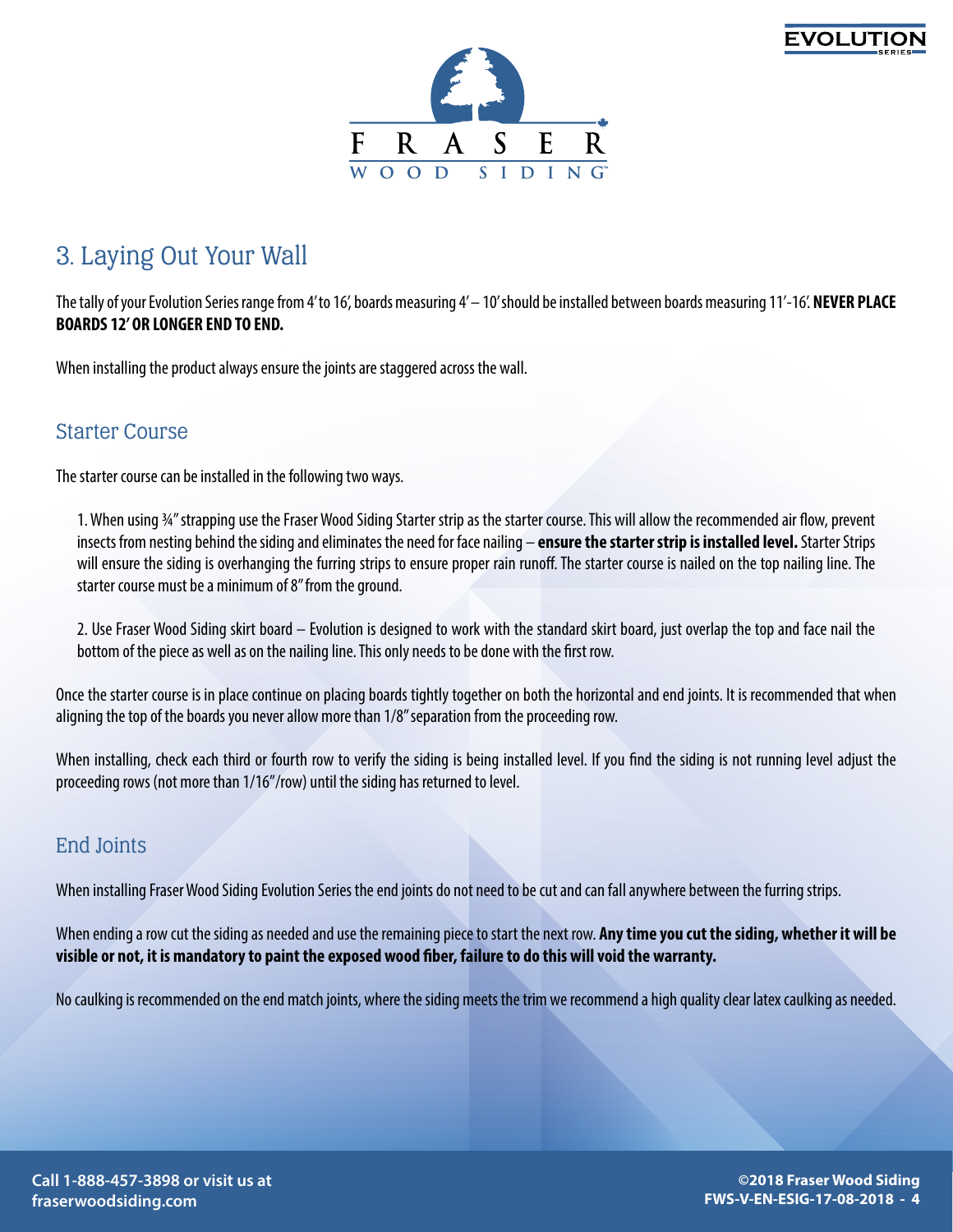



# 3. Laying Out Your Wall

The tally of your Evolution Series range from 4' to 16', boards measuring 4' – 10' should be installed between boards measuring 11'-16'. **NEVER PLACE BOARDS 12' OR LONGER END TO END.**

When installing the product always ensure the joints are staggered across the wall.

### Starter Course

The starter course can be installed in the following two ways.

1. When using ¾" strapping use the Fraser Wood Siding Starter strip as the starter course. This will allow the recommended air flow, prevent insects from nesting behind the siding and eliminates the need for face nailing – **ensure the starter strip is installed level.** Starter Strips will ensure the siding is overhanging the furring strips to ensure proper rain runoff. The starter course is nailed on the top nailing line. The starter course must be a minimum of 8" from the ground.

2. Use Fraser Wood Siding skirt board – Evolution is designed to work with the standard skirt board, just overlap the top and face nail the bottom of the piece as well as on the nailing line. This only needs to be done with the first row.

Once the starter course is in place continue on placing boards tightly together on both the horizontal and end joints. It is recommended that when aligning the top of the boards you never allow more than 1/8" separation from the proceeding row.

When installing, check each third or fourth row to verify the siding is being installed level. If you find the siding is not running level adjust the proceeding rows (not more than 1/16"/row) until the siding has returned to level.

## End Joints

When installing Fraser Wood Siding Evolution Series the end joints do not need to be cut and can fall anywhere between the furring strips.

When ending a row cut the siding as needed and use the remaining piece to start the next row. **Any time you cut the siding, whether it will be visible or not, it is mandatory to paint the exposed wood fiber, failure to do this will void the warranty.**

No caulking is recommended on the end match joints, where the siding meets the trim we recommend a high quality clear latex caulking as needed.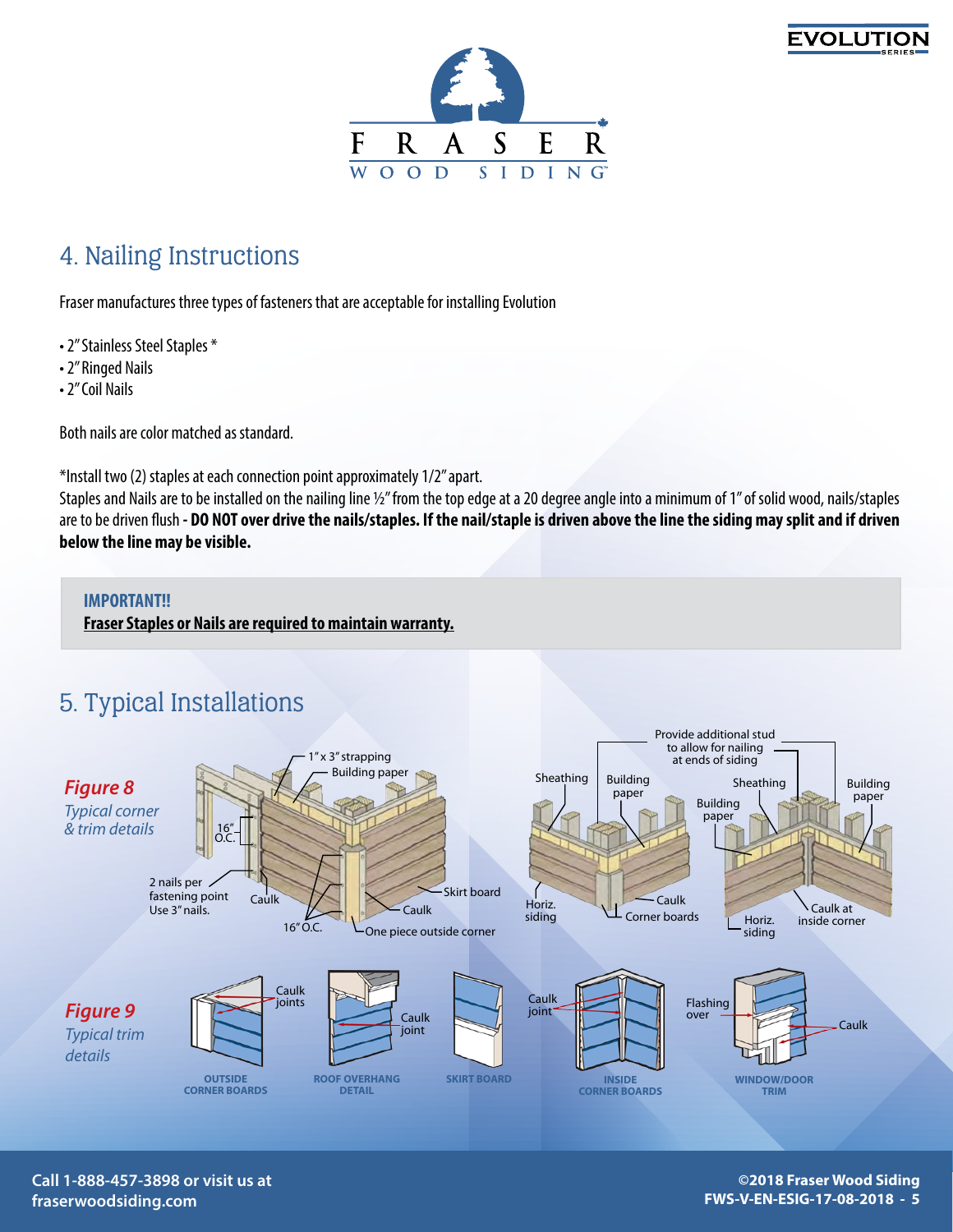



# 4. Nailing Instructions

Fraser manufactures three types of fasteners that are acceptable for installing Evolution

- 2" Stainless Steel Staples \*
- 2" Ringed Nails
- 2" Coil Nails

Both nails are color matched as standard.

\*Install two (2) staples at each connection point approximately 1/2" apart.

Staples and Nails are to be installed on the nailing line ½" from the top edge at a 20 degree angle into a minimum of 1" of solid wood, nails/staples are to be driven flush **- DO NOT over drive the nails/staples. If the nail/staple is driven above the line the siding may split and if driven below the line may be visible.**

#### **IMPORTANT!!**

**Fraser Staples or Nails are required to maintain warranty.**





**Call 1-888-457-3898 or visit us at fraserwoodsiding.com**

**©2018 Fraser Wood Siding FWS-V-EN-ESIG-17-08-2018 - 5**